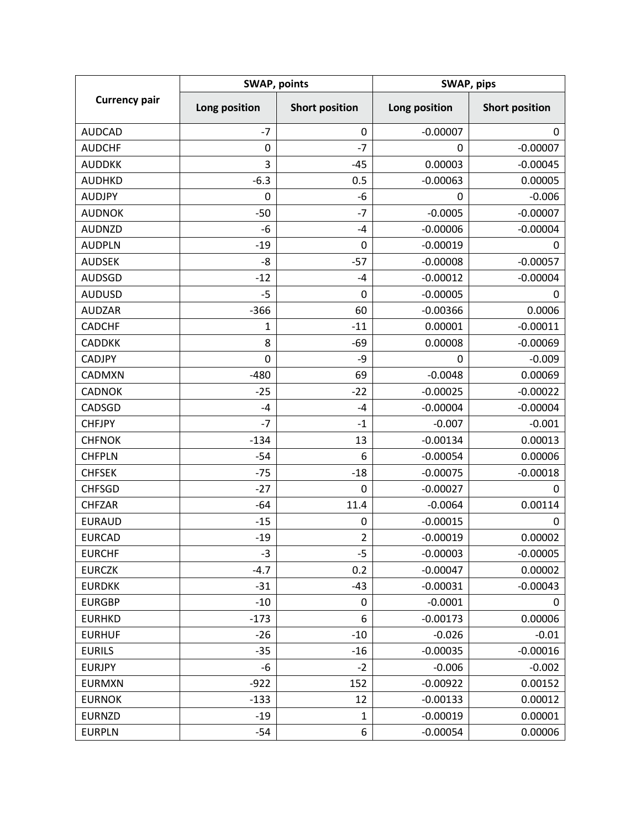| <b>Currency pair</b> | <b>SWAP, points</b> |                       | SWAP, pips    |                       |
|----------------------|---------------------|-----------------------|---------------|-----------------------|
|                      | Long position       | <b>Short position</b> | Long position | <b>Short position</b> |
| <b>AUDCAD</b>        | $-7$                | 0                     | $-0.00007$    | 0                     |
| <b>AUDCHF</b>        | 0                   | $-7$                  | 0             | $-0.00007$            |
| <b>AUDDKK</b>        | 3                   | $-45$                 | 0.00003       | $-0.00045$            |
| <b>AUDHKD</b>        | $-6.3$              | 0.5                   | $-0.00063$    | 0.00005               |
| <b>AUDJPY</b>        | 0                   | -6                    | 0             | $-0.006$              |
| <b>AUDNOK</b>        | $-50$               | $-7$                  | $-0.0005$     | $-0.00007$            |
| <b>AUDNZD</b>        | $-6$                | -4                    | $-0.00006$    | $-0.00004$            |
| <b>AUDPLN</b>        | $-19$               | 0                     | $-0.00019$    | 0                     |
| <b>AUDSEK</b>        | $-8$                | $-57$                 | $-0.00008$    | $-0.00057$            |
| <b>AUDSGD</b>        | $-12$               | -4                    | $-0.00012$    | $-0.00004$            |
| <b>AUDUSD</b>        | $-5$                | 0                     | $-0.00005$    | 0                     |
| <b>AUDZAR</b>        | $-366$              | 60                    | $-0.00366$    | 0.0006                |
| <b>CADCHF</b>        | 1                   | $-11$                 | 0.00001       | $-0.00011$            |
| <b>CADDKK</b>        | 8                   | $-69$                 | 0.00008       | $-0.00069$            |
| <b>CADJPY</b>        | 0                   | -9                    | 0             | $-0.009$              |
| CADMXN               | $-480$              | 69                    | $-0.0048$     | 0.00069               |
| <b>CADNOK</b>        | $-25$               | $-22$                 | $-0.00025$    | $-0.00022$            |
| CADSGD               | $-4$                | $-4$                  | $-0.00004$    | $-0.00004$            |
| <b>CHFJPY</b>        | $-7$                | $-1$                  | $-0.007$      | $-0.001$              |
| <b>CHFNOK</b>        | $-134$              | 13                    | $-0.00134$    | 0.00013               |
| <b>CHFPLN</b>        | $-54$               | 6                     | $-0.00054$    | 0.00006               |
| <b>CHFSEK</b>        | $-75$               | $-18$                 | $-0.00075$    | $-0.00018$            |
| <b>CHFSGD</b>        | $-27$               | 0                     | $-0.00027$    | 0                     |
| <b>CHFZAR</b>        | $-64$               | 11.4                  | $-0.0064$     | 0.00114               |
| <b>EURAUD</b>        | $-15$               | 0                     | $-0.00015$    | 0                     |
| <b>EURCAD</b>        | $-19$               | $\overline{2}$        | $-0.00019$    | 0.00002               |
| <b>EURCHF</b>        | $-3$                | $-5$                  | $-0.00003$    | $-0.00005$            |
| <b>EURCZK</b>        | $-4.7$              | 0.2                   | $-0.00047$    | 0.00002               |
| <b>EURDKK</b>        | $-31$               | $-43$                 | $-0.00031$    | $-0.00043$            |
| <b>EURGBP</b>        | $-10$               | 0                     | $-0.0001$     | 0                     |
| <b>EURHKD</b>        | $-173$              | 6                     | $-0.00173$    | 0.00006               |
| <b>EURHUF</b>        | $-26$               | $-10$                 | $-0.026$      | $-0.01$               |
| <b>EURILS</b>        | $-35$               | $-16$                 | $-0.00035$    | $-0.00016$            |
| <b>EURJPY</b>        | -6                  | $-2$                  | $-0.006$      | $-0.002$              |
| <b>EURMXN</b>        | $-922$              | 152                   | $-0.00922$    | 0.00152               |
| <b>EURNOK</b>        | $-133$              | 12                    | $-0.00133$    | 0.00012               |
| <b>EURNZD</b>        | $-19$               | 1                     | $-0.00019$    | 0.00001               |
| <b>EURPLN</b>        | $-54$               | 6                     | $-0.00054$    | 0.00006               |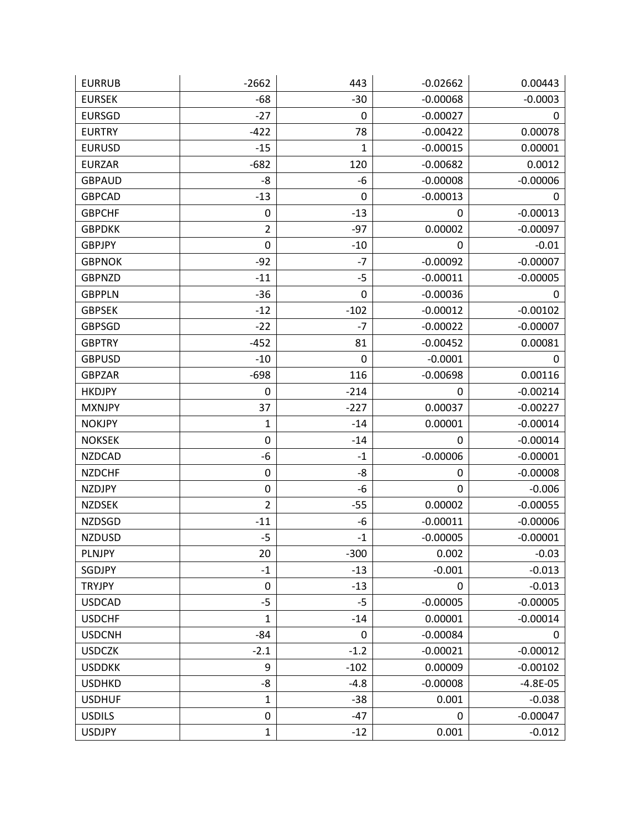| <b>EURRUB</b> | $-2662$          | 443    | $-0.02662$  | 0.00443      |
|---------------|------------------|--------|-------------|--------------|
| <b>EURSEK</b> | $-68$            | $-30$  | $-0.00068$  | $-0.0003$    |
| <b>EURSGD</b> | $-27$            | 0      | $-0.00027$  | 0            |
| <b>EURTRY</b> | $-422$           | 78     | $-0.00422$  | 0.00078      |
| <b>EURUSD</b> | $-15$            | 1      | $-0.00015$  | 0.00001      |
| <b>EURZAR</b> | $-682$           | 120    | $-0.00682$  | 0.0012       |
| <b>GBPAUD</b> | -8               | -6     | $-0.00008$  | $-0.00006$   |
| <b>GBPCAD</b> | $-13$            | 0      | $-0.00013$  | 0            |
| <b>GBPCHF</b> | $\mathbf 0$      | $-13$  | 0           | $-0.00013$   |
| <b>GBPDKK</b> | $\overline{2}$   | $-97$  | 0.00002     | $-0.00097$   |
| <b>GBPJPY</b> | $\boldsymbol{0}$ | $-10$  | 0           | $-0.01$      |
| <b>GBPNOK</b> | $-92$            | $-7$   | $-0.00092$  | $-0.00007$   |
| <b>GBPNZD</b> | $-11$            | $-5$   | $-0.00011$  | $-0.00005$   |
| <b>GBPPLN</b> | $-36$            | 0      | $-0.00036$  | 0            |
| <b>GBPSEK</b> | $-12$            | $-102$ | $-0.00012$  | $-0.00102$   |
| <b>GBPSGD</b> | $-22$            | $-7$   | $-0.00022$  | $-0.00007$   |
| <b>GBPTRY</b> | $-452$           | 81     | $-0.00452$  | 0.00081      |
| <b>GBPUSD</b> | $-10$            | 0      | $-0.0001$   | 0            |
| <b>GBPZAR</b> | $-698$           | 116    | $-0.00698$  | 0.00116      |
| <b>HKDJPY</b> | 0                | $-214$ | 0           | $-0.00214$   |
| <b>MXNJPY</b> | 37               | $-227$ | 0.00037     | $-0.00227$   |
| <b>NOKJPY</b> | 1                | $-14$  | 0.00001     | $-0.00014$   |
| <b>NOKSEK</b> | $\boldsymbol{0}$ | $-14$  | 0           | $-0.00014$   |
| <b>NZDCAD</b> | -6               | $-1$   | $-0.00006$  | $-0.00001$   |
| <b>NZDCHF</b> | 0                | -8     | 0           | $-0.00008$   |
| <b>NZDJPY</b> | $\boldsymbol{0}$ | -6     | $\mathbf 0$ | $-0.006$     |
| <b>NZDSEK</b> | $\overline{2}$   | $-55$  | 0.00002     | $-0.00055$   |
| <b>NZDSGD</b> | $-11$            | -6     | $-0.00011$  | $-0.00006$   |
| <b>NZDUSD</b> | $-5$             | $-1$   | $-0.00005$  | $-0.00001$   |
| PLNJPY        | 20               | $-300$ | 0.002       | $-0.03$      |
| SGDJPY        | $-1$             | $-13$  | $-0.001$    | $-0.013$     |
| <b>TRYJPY</b> | $\mathbf 0$      | $-13$  | 0           | $-0.013$     |
| <b>USDCAD</b> | $-5$             | $-5$   | $-0.00005$  | $-0.00005$   |
| <b>USDCHF</b> | $\mathbf 1$      | $-14$  | 0.00001     | $-0.00014$   |
| <b>USDCNH</b> | $-84$            | 0      | $-0.00084$  | 0            |
| <b>USDCZK</b> | $-2.1$           | $-1.2$ | $-0.00021$  | $-0.00012$   |
| <b>USDDKK</b> | 9                | $-102$ | 0.00009     | $-0.00102$   |
| <b>USDHKD</b> | -8               | $-4.8$ | $-0.00008$  | $-4.8E - 05$ |
| <b>USDHUF</b> | 1                | $-38$  | 0.001       | $-0.038$     |
| <b>USDILS</b> | 0                | $-47$  | $\mathbf 0$ | $-0.00047$   |
| <b>USDJPY</b> | 1                | $-12$  | 0.001       | $-0.012$     |